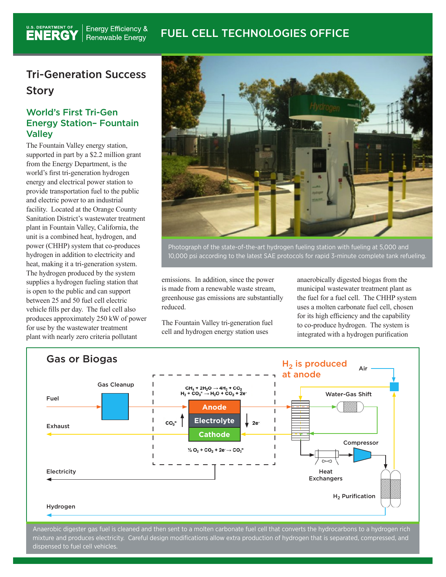#### **Energy Efficiency &** FUEL CELL TECHNOLOGIES OFFICERenewable Energy

## Tri-Generation Success Story

U.S. DEPARTMENT OF

### World's First Tri-Gen Energy Station– Fountain **Valley**

The Fountain Valley energy station, supported in part by a \$2.2 million grant from the Energy Department, is the world's first tri-generation hydrogen energy and electrical power station to provide transportation fuel to the public and electric power to an industrial facility. Located at the Orange County Sanitation District's wastewater treatment plant in Fountain Valley, California, the unit is a combined heat, hydrogen, and power (CHHP) system that co-produces hydrogen in addition to electricity and heat, making it a tri-generation system. The hydrogen produced by the system supplies a hydrogen fueling station that is open to the public and can support between 25 and 50 fuel cell electric vehicle fills per day. The fuel cell also produces approximately 250 kW of power for use by the wastewater treatment plant with nearly zero criteria pollutant



Photograph of the state-of-the-art hydrogen fueling station with fueling at 5,000 and 10,000 psi according to the latest SAE protocols for rapid 3-minute complete tank refueling.

emissions. In addition, since the power is made from a renewable waste stream, greenhouse gas emissions are substantially reduced.

The Fountain Valley tri-generation fuel cell and hydrogen energy station uses

anaerobically digested biogas from the municipal wastewater treatment plant as the fuel for a fuel cell. The CHHP system uses a molten carbonate fuel cell, chosen for its high efficiency and the capability to co-produce hydrogen. The system is integrated with a hydrogen purification



Anaerobic digester gas fuel is cleaned and then sent to a molten carbonate fuel cell that converts the hydrocarbons to a hydrogen rich mixture and produces electricity. Careful design modifications allow extra production of hydrogen that is separated, compressed, and dispensed to fuel cell vehicles.